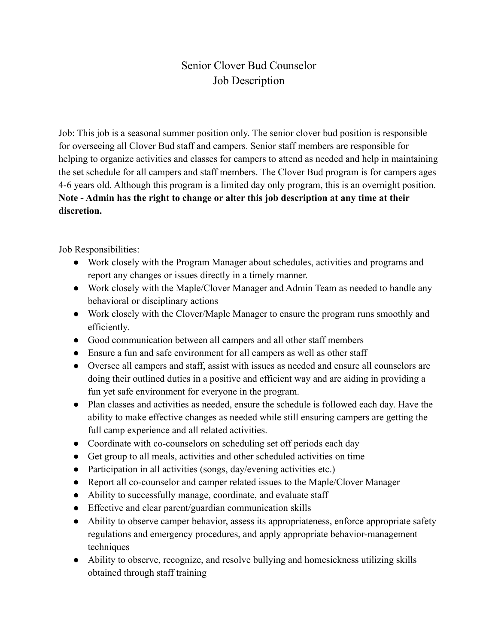## Senior Clover Bud Counselor Job Description

Job: This job is a seasonal summer position only. The senior clover bud position is responsible for overseeing all Clover Bud staff and campers. Senior staff members are responsible for helping to organize activities and classes for campers to attend as needed and help in maintaining the set schedule for all campers and staff members. The Clover Bud program is for campers ages 4-6 years old. Although this program is a limited day only program, this is an overnight position. **Note - Admin has the right to change or alter this job description at any time at their discretion.**

Job Responsibilities:

- Work closely with the Program Manager about schedules, activities and programs and report any changes or issues directly in a timely manner.
- Work closely with the Maple/Clover Manager and Admin Team as needed to handle any behavioral or disciplinary actions
- Work closely with the Clover/Maple Manager to ensure the program runs smoothly and efficiently.
- Good communication between all campers and all other staff members
- Ensure a fun and safe environment for all campers as well as other staff
- Oversee all campers and staff, assist with issues as needed and ensure all counselors are doing their outlined duties in a positive and efficient way and are aiding in providing a fun yet safe environment for everyone in the program.
- Plan classes and activities as needed, ensure the schedule is followed each day. Have the ability to make effective changes as needed while still ensuring campers are getting the full camp experience and all related activities.
- Coordinate with co-counselors on scheduling set off periods each day
- Get group to all meals, activities and other scheduled activities on time
- Participation in all activities (songs, day/evening activities etc.)
- Report all co-counselor and camper related issues to the Maple/Clover Manager
- Ability to successfully manage, coordinate, and evaluate staff
- Effective and clear parent/guardian communication skills
- Ability to observe camper behavior, assess its appropriateness, enforce appropriate safety regulations and emergency procedures, and apply appropriate behavior-management techniques
- Ability to observe, recognize, and resolve bullying and homesickness utilizing skills obtained through staff training